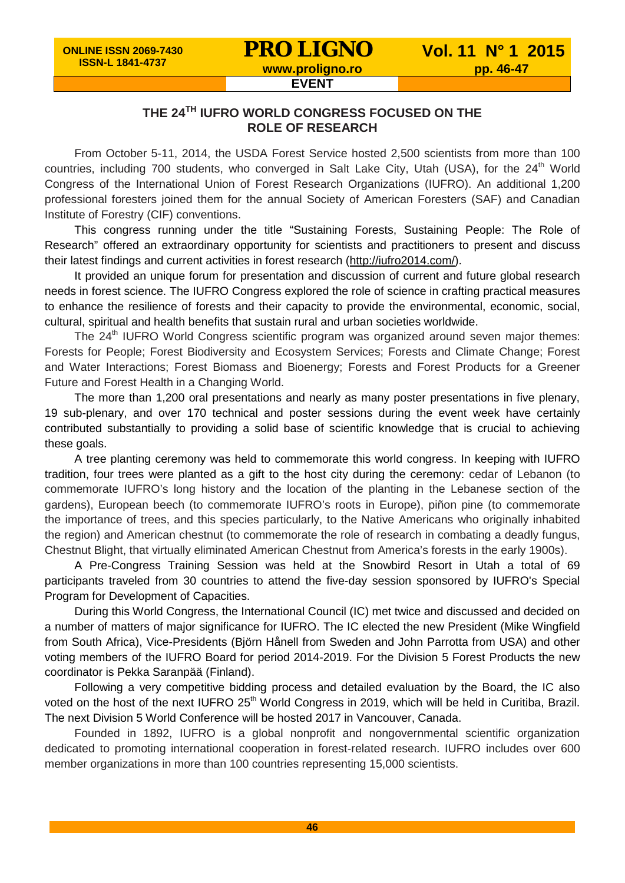**EVENT**

## **THE 24TH IUFRO WORLD CONGRESS FOCUSED ON THE ROLE OF RESEARCH**

From October 5-11, 2014, the USDA Forest Service hosted 2,500 scientists from more than 100 countries, including 700 students, who converged in Salt Lake City, Utah (USA), for the 24<sup>th</sup> World Congress of the International Union of Forest Research Organizations (IUFRO). An additional 1,200 professional foresters joined them for the annual Society of American Foresters (SAF) and Canadian Institute of Forestry (CIF) conventions.

This congress running under the title "Sustaining Forests, Sustaining People: The Role of Research" offered an extraordinary opportunity for scientists and practitioners to present and discuss their latest findings and current activities in forest research [\(http://iufro2014.com/\)](http://iufro2014.com/).

It provided an unique forum for presentation and discussion of current and future global research needs in forest science. The IUFRO Congress explored the role of science in crafting practical measures to enhance the resilience of forests and their capacity to provide the environmental, economic, social, cultural, spiritual and health benefits that sustain rural and urban societies worldwide.

The  $24<sup>th</sup>$  IUFRO World Congress scientific program was organized around seven major themes: Forests for People; Forest Biodiversity and Ecosystem Services; Forests and Climate Change; Forest and Water Interactions; Forest Biomass and Bioenergy; Forests and Forest Products for a Greener Future and Forest Health in a Changing World.

The more than 1,200 oral presentations and nearly as many poster presentations in five plenary, 19 sub-plenary, and over 170 technical and poster sessions during the event week have certainly contributed substantially to providing a solid base of scientific knowledge that is crucial to achieving these goals.

A tree planting ceremony was held to commemorate this world congress. In keeping with IUFRO tradition, four trees were planted as a gift to the host city during the ceremony: cedar of Lebanon (to commemorate IUFRO's long history and the location of the planting in the Lebanese section of the gardens), European beech (to commemorate IUFRO's roots in Europe), piñon pine (to commemorate the importance of trees, and this species particularly, to the Native Americans who originally inhabited the region) and American chestnut (to commemorate the role of research in combating a deadly fungus, Chestnut Blight, that virtually eliminated American Chestnut from America's forests in the early 1900s).

A Pre-Congress Training Session was held at the Snowbird Resort in Utah a total of 69 participants traveled from 30 countries to attend the five-day session sponsored by IUFRO's Special Program for Development of Capacities.

During this World Congress, the International Council (IC) met twice and discussed and decided on a number of matters of major significance for IUFRO. The IC elected the new President (Mike Wingfield from South Africa), Vice-Presidents (Björn Hånell from Sweden and John Parrotta from USA) and other voting members of the IUFRO Board for period 2014-2019. For the Division 5 Forest Products the new coordinator is Pekka Saranpää (Finland).

Following a very competitive bidding process and detailed evaluation by the Board, the IC also voted on the host of the next IUFRO 25<sup>th</sup> World Congress in 2019, which will be held in Curitiba, Brazil. The next Division 5 World Conference will be hosted 2017 in Vancouver, Canada.

Founded in 1892, IUFRO is a global nonprofit and nongovernmental scientific organization dedicated to promoting international cooperation in forest-related research. IUFRO includes over 600 member organizations in more than 100 countries representing 15,000 scientists.